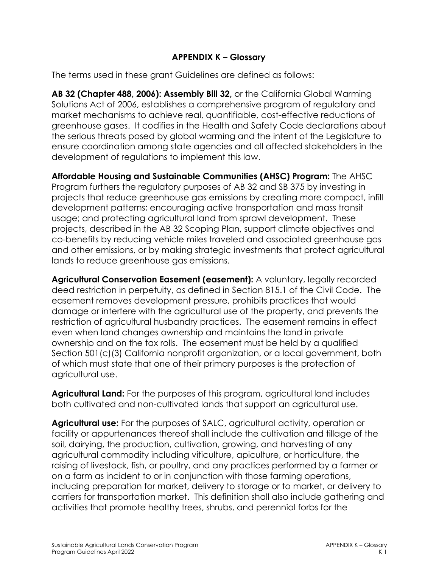## **APPENDIX K – Glossary**

The terms used in these grant Guidelines are defined as follows:

**AB 32 (Chapter 488, 2006): Assembly Bill 32,** or the California Global Warming Solutions Act of 2006, establishes a comprehensive program of regulatory and market mechanisms to achieve real, quantifiable, cost-effective reductions of greenhouse gases. It codifies in the Health and Safety Code declarations about the serious threats posed by global warming and the intent of the Legislature to ensure coordination among state agencies and all affected stakeholders in the development of regulations to implement this law.

**Affordable Housing and Sustainable Communities (AHSC) Program:** The AHSC Program furthers the regulatory purposes of AB 32 and SB 375 by investing in projects that reduce greenhouse gas emissions by creating more compact, infill development patterns; encouraging active transportation and mass transit usage; and protecting agricultural land from sprawl development. These projects, described in the AB 32 Scoping Plan, support climate objectives and co-benefits by reducing vehicle miles traveled and associated greenhouse gas and other emissions, or by making strategic investments that protect agricultural lands to reduce greenhouse gas emissions.

**Agricultural Conservation Easement (easement):** A voluntary, legally recorded deed restriction in perpetuity, as defined in Section 815.1 of the Civil Code. The easement removes development pressure, prohibits practices that would damage or interfere with the agricultural use of the property, and prevents the restriction of agricultural husbandry practices. The easement remains in effect even when land changes ownership and maintains the land in private ownership and on the tax rolls. The easement must be held by a qualified Section 501(c)(3) California nonprofit organization, or a local government, both of which must state that one of their primary purposes is the protection of agricultural use.

**Agricultural Land:** For the purposes of this program, agricultural land includes both cultivated and non-cultivated lands that support an agricultural use.

**Agricultural use:** For the purposes of SALC, agricultural activity, operation or facility or appurtenances thereof shall include the cultivation and tillage of the soil, dairying, the production, cultivation, growing, and harvesting of any agricultural commodity including viticulture, apiculture, or horticulture, the raising of livestock, fish, or poultry, and any practices performed by a farmer or on a farm as incident to or in conjunction with those farming operations, including preparation for market, delivery to storage or to market, or delivery to carriers for transportation market. This definition shall also include gathering and activities that promote healthy trees, shrubs, and perennial forbs for the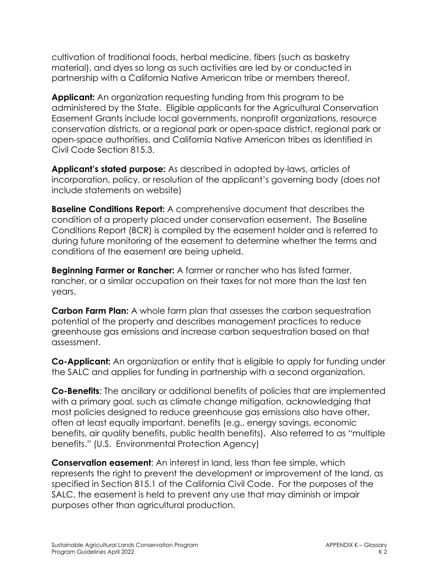cultivation of traditional foods, herbal medicine, fibers (such as basketry material), and dyes so long as such activities are led by or conducted in partnership with a California Native American tribe or members thereof.

**Applicant:** An organization requesting funding from this program to be administered by the State. Eligible applicants for the Agricultural Conservation Easement Grants include local governments, nonprofit organizations, resource conservation districts, or a regional park or open-space district, regional park or open-space authorities, and California Native American tribes as identified in Civil Code Section 815.3.

**Applicant's stated purpose:** As described in adopted by-laws, articles of incorporation, policy, or resolution of the applicant's governing body (does not include statements on website)

**Baseline Conditions Report:** A comprehensive document that describes the condition of a property placed under conservation easement. The Baseline Conditions Report (BCR) is compiled by the easement holder and is referred to during future monitoring of the easement to determine whether the terms and conditions of the easement are being upheld.

**Beginning Farmer or Rancher:** A farmer or rancher who has listed farmer, rancher, or a similar occupation on their taxes for not more than the last ten years.

**Carbon Farm Plan:** A whole farm plan that assesses the carbon sequestration potential of the property and describes management practices to reduce greenhouse gas emissions and increase carbon sequestration based on that assessment.

**Co-Applicant:** An organization or entity that is eligible to apply for funding under the SALC and applies for funding in partnership with a second organization.

**Co-Benefits**: The ancillary or additional benefits of policies that are implemented with a primary goal, such as climate change mitigation, acknowledging that most policies designed to reduce greenhouse gas emissions also have other, often at least equally important, benefits (e.g., energy savings, economic benefits, air quality benefits, public health benefits). Also referred to as "multiple benefits." (U.S. Environmental Protection Agency)

**Conservation easement**: An interest in land, less than fee simple, which represents the right to prevent the development or improvement of the land, as specified in Section 815.1 of the California Civil Code. For the purposes of the SALC, the easement is held to prevent any use that may diminish or impair purposes other than agricultural production.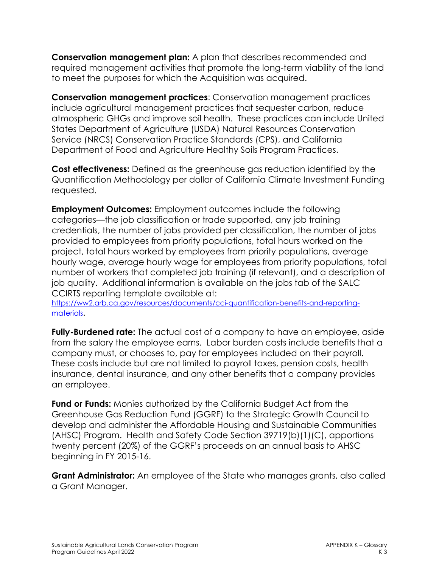**Conservation management plan:** A plan that describes recommended and required management activities that promote the long-term viability of the land to meet the purposes for which the Acquisition was acquired.

**Conservation management practices**: Conservation management practices include agricultural management practices that sequester carbon, reduce atmospheric GHGs and improve soil health. These practices can include United States Department of Agriculture (USDA) Natural Resources Conservation Service (NRCS) Conservation Practice Standards (CPS), and California Department of Food and Agriculture Healthy Soils Program Practices.

**Cost effectiveness:** Defined as the greenhouse gas reduction identified by the Quantification Methodology per dollar of California Climate Investment Funding requested.

**Employment Outcomes:** Employment outcomes include the following categories—the job classification or trade supported, any job training credentials, the number of jobs provided per classification, the number of jobs provided to employees from priority populations, total hours worked on the project, total hours worked by employees from priority populations, average hourly wage, average hourly wage for employees from priority populations, total number of workers that completed job training (if relevant), and a description of job quality. Additional information is available on the jobs tab of the SALC CCIRTS reporting template available at:

[https://ww2.arb.ca.gov/resources/documents/cci-quantification-benefits-and-reporting](https://ww2.arb.ca.gov/resources/documents/cci-quantification-benefits-and-reporting-materials)[materials.](https://ww2.arb.ca.gov/resources/documents/cci-quantification-benefits-and-reporting-materials)

**Fully-Burdened rate:** The actual cost of a company to have an employee, aside from the salary the employee earns. Labor burden costs include benefits that a company must, or chooses to, pay for employees included on their payroll. These costs include but are not limited to payroll taxes, pension costs, health insurance, dental insurance, and any other benefits that a company provides an employee.

**Fund or Funds:** Monies authorized by the California Budget Act from the Greenhouse Gas Reduction Fund (GGRF) to the Strategic Growth Council to develop and administer the Affordable Housing and Sustainable Communities (AHSC) Program. Health and Safety Code Section 39719(b)(1)(C), apportions twenty percent (20%) of the GGRF's proceeds on an annual basis to AHSC beginning in FY 2015-16.

**Grant Administrator:** An employee of the State who manages grants, also called a Grant Manager.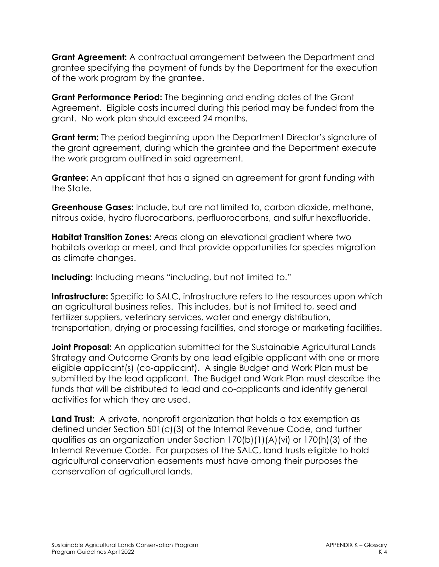**Grant Agreement:** A contractual arrangement between the Department and grantee specifying the payment of funds by the Department for the execution of the work program by the grantee.

**Grant Performance Period:** The beginning and ending dates of the Grant Agreement. Eligible costs incurred during this period may be funded from the grant. No work plan should exceed 24 months.

**Grant term:** The period beginning upon the Department Director's signature of the grant agreement, during which the grantee and the Department execute the work program outlined in said agreement.

**Grantee:** An applicant that has a signed an agreement for grant funding with the State.

**Greenhouse Gases:** Include, but are not limited to, carbon dioxide, methane, nitrous oxide, hydro fluorocarbons, perfluorocarbons, and sulfur hexafluoride.

**Habitat Transition Zones:** Areas along an elevational gradient where two habitats overlap or meet, and that provide opportunities for species migration as climate changes.

**Including:** Including means "including, but not limited to."

**Infrastructure:** Specific to SALC, infrastructure refers to the resources upon which an agricultural business relies. This includes, but is not limited to, seed and fertilizer suppliers, veterinary services, water and energy distribution, transportation, drying or processing facilities, and storage or marketing facilities.

**Joint Proposal:** An application submitted for the Sustainable Agricultural Lands Strategy and Outcome Grants by one lead eligible applicant with one or more eligible applicant(s) (co-applicant). A single Budget and Work Plan must be submitted by the lead applicant. The Budget and Work Plan must describe the funds that will be distributed to lead and co-applicants and identify general activities for which they are used.

**Land Trust:** A private, nonprofit organization that holds a tax exemption as defined under Section 501(c)(3) of the Internal Revenue Code, and further qualifies as an organization under Section 170(b)(1)(A)(vi) or 170(h)(3) of the Internal Revenue Code. For purposes of the SALC, land trusts eligible to hold agricultural conservation easements must have among their purposes the conservation of agricultural lands.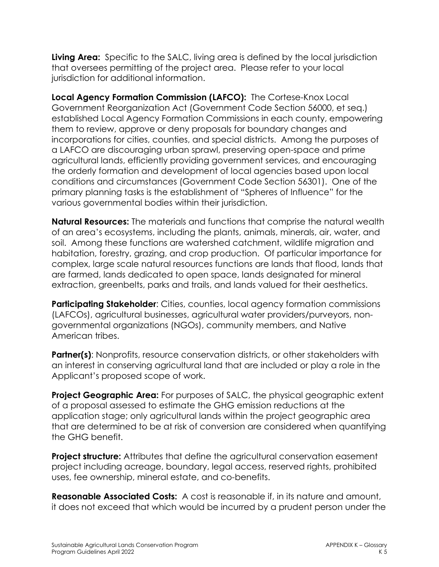**Living Area:** Specific to the SALC, living area is defined by the local jurisdiction that oversees permitting of the project area. Please refer to your local jurisdiction for additional information.

**Local Agency Formation Commission (LAFCO):** The Cortese-Knox Local Government Reorganization Act (Government Code Section 56000, et seq.) established Local Agency Formation Commissions in each county, empowering them to review, approve or deny proposals for boundary changes and incorporations for cities, counties, and special districts. Among the purposes of a LAFCO are discouraging urban sprawl, preserving open-space and prime agricultural lands, efficiently providing government services, and encouraging the orderly formation and development of local agencies based upon local conditions and circumstances (Government Code Section 56301). One of the primary planning tasks is the establishment of "Spheres of Influence" for the various governmental bodies within their jurisdiction.

**Natural Resources:** The materials and functions that comprise the natural wealth of an area's ecosystems, including the plants, animals, minerals, air, water, and soil. Among these functions are watershed catchment, wildlife migration and habitation, forestry, grazing, and crop production. Of particular importance for complex, large scale natural resources functions are lands that flood, lands that are farmed, lands dedicated to open space, lands designated for mineral extraction, greenbelts, parks and trails, and lands valued for their aesthetics.

**Participating Stakeholder:** Cities, counties, local agency formation commissions (LAFCOs), agricultural businesses, agricultural water providers/purveyors, nongovernmental organizations (NGOs), community members, and Native American tribes.

**Partner(s):** Nonprofits, resource conservation districts, or other stakeholders with an interest in conserving agricultural land that are included or play a role in the Applicant's proposed scope of work.

**Project Geographic Area:** For purposes of SALC, the physical geographic extent of a proposal assessed to estimate the GHG emission reductions at the application stage; only agricultural lands within the project geographic area that are determined to be at risk of conversion are considered when quantifying the GHG benefit.

**Project structure:** Attributes that define the agricultural conservation easement project including acreage, boundary, legal access, reserved rights, prohibited uses, fee ownership, mineral estate, and co-benefits.

**Reasonable Associated Costs:** A cost is reasonable if, in its nature and amount, it does not exceed that which would be incurred by a prudent person under the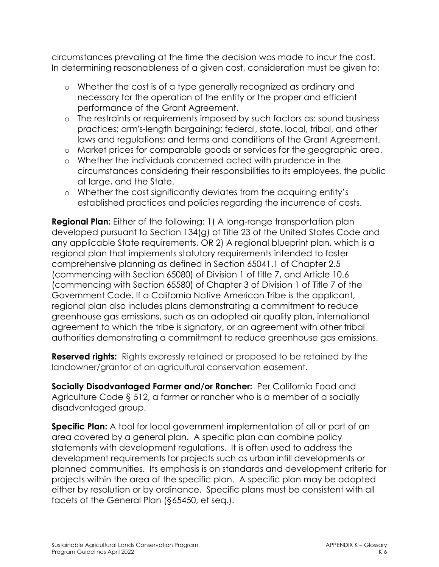circumstances prevailing at the time the decision was made to incur the cost. In determining reasonableness of a given cost, consideration must be given to:

- o Whether the cost is of a type generally recognized as ordinary and necessary for the operation of the entity or the proper and efficient performance of the Grant Agreement.
- o The restraints or requirements imposed by such factors as: sound business practices; arm's-length bargaining; federal, state, local, tribal, and other laws and regulations; and terms and conditions of the Grant Agreement.
- o Market prices for comparable goods or services for the geographic area.
- o Whether the individuals concerned acted with prudence in the circumstances considering their responsibilities to its employees, the public at large, and the State.
- o Whether the cost significantly deviates from the acquiring entity's established practices and policies regarding the incurrence of costs.

**Regional Plan:** Either of the following: 1) A long-range transportation plan developed pursuant to Section 134(g) of Title 23 of the United States Code and any applicable State requirements, OR 2) A regional blueprint plan, which is a regional plan that implements statutory requirements intended to foster comprehensive planning as defined in Section 65041.1 of Chapter 2.5 (commencing with Section 65080) of Division 1 of title 7, and Article 10.6 (commencing with Section 65580) of Chapter 3 of Division 1 of Title 7 of the Government Code. If a California Native American Tribe is the applicant, regional plan also includes plans demonstrating a commitment to reduce greenhouse gas emissions, such as an adopted air quality plan, international agreement to which the tribe is signatory, or an agreement with other tribal authorities demonstrating a commitment to reduce greenhouse gas emissions.

**Reserved rights:** Rights expressly retained or proposed to be retained by the landowner/grantor of an agricultural conservation easement.

**Socially Disadvantaged Farmer and/or Rancher:** Per California Food and Agriculture Code § 512, a farmer or rancher who is a member of a socially disadvantaged group.

**Specific Plan:** A tool for local government implementation of all or part of an area covered by a general plan. A specific plan can combine policy statements with development regulations. It is often used to address the development requirements for projects such as urban infill developments or planned communities. Its emphasis is on standards and development criteria for projects within the area of the specific plan. A specific plan may be adopted either by resolution or by ordinance. Specific plans must be consistent with all facets of the General Plan (§65450, et seq.).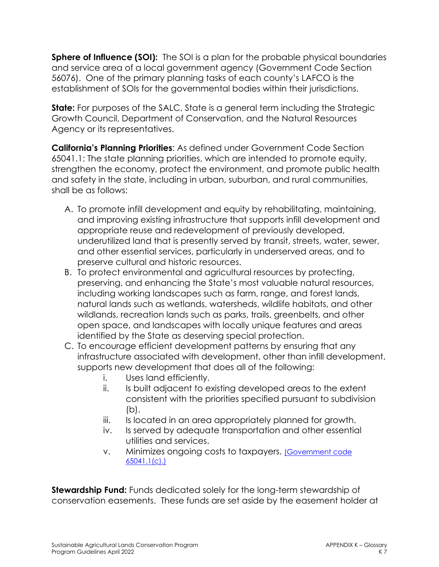**Sphere of Influence (SOI):** The SOI is a plan for the probable physical boundaries and service area of a local government agency (Government Code Section 56076). One of the primary planning tasks of each county's LAFCO is the establishment of SOIs for the governmental bodies within their jurisdictions.

**State:** For purposes of the SALC, State is a general term including the Strategic Growth Council, Department of Conservation, and the Natural Resources Agency or its representatives.

**California's Planning Priorities**: As defined under Government Code Section 65041.1: The state planning priorities, which are intended to promote equity, strengthen the economy, protect the environment, and promote public health and safety in the state, including in urban, suburban, and rural communities, shall be as follows:

- A. To promote infill development and equity by rehabilitating, maintaining, and improving existing infrastructure that supports infill development and appropriate reuse and redevelopment of previously developed, underutilized land that is presently served by transit, streets, water, sewer, and other essential services, particularly in underserved areas, and to preserve cultural and historic resources.
- B. To protect environmental and agricultural resources by protecting, preserving, and enhancing the State's most valuable natural resources, including working landscapes such as farm, range, and forest lands, natural lands such as wetlands, watersheds, wildlife habitats, and other wildlands, recreation lands such as parks, trails, greenbelts, and other open space, and landscapes with locally unique features and areas identified by the State as deserving special protection.
- C. To encourage efficient development patterns by ensuring that any infrastructure associated with development, other than infill development, supports new development that does all of the following:
	- i. Uses land efficiently.
	- ii. Is built adjacent to existing developed areas to the extent consistent with the priorities specified pursuant to subdivision (b).
	- iii. Is located in an area appropriately planned for growth.
	- iv. Is served by adequate transportation and other essential utilities and services.
	- v. Minimizes ongoing costs to taxpayers. [\(Government code](https://leginfo.legislature.ca.gov/faces/codes_displayText.xhtml?lawCode=GOV&division=1.&title=7.&part=&chapter=1.5.&article=5.)  [65041.1\(c\).\)](https://leginfo.legislature.ca.gov/faces/codes_displayText.xhtml?lawCode=GOV&division=1.&title=7.&part=&chapter=1.5.&article=5.)

**Stewardship Fund:** Funds dedicated solely for the long-term stewardship of conservation easements. These funds are set aside by the easement holder at